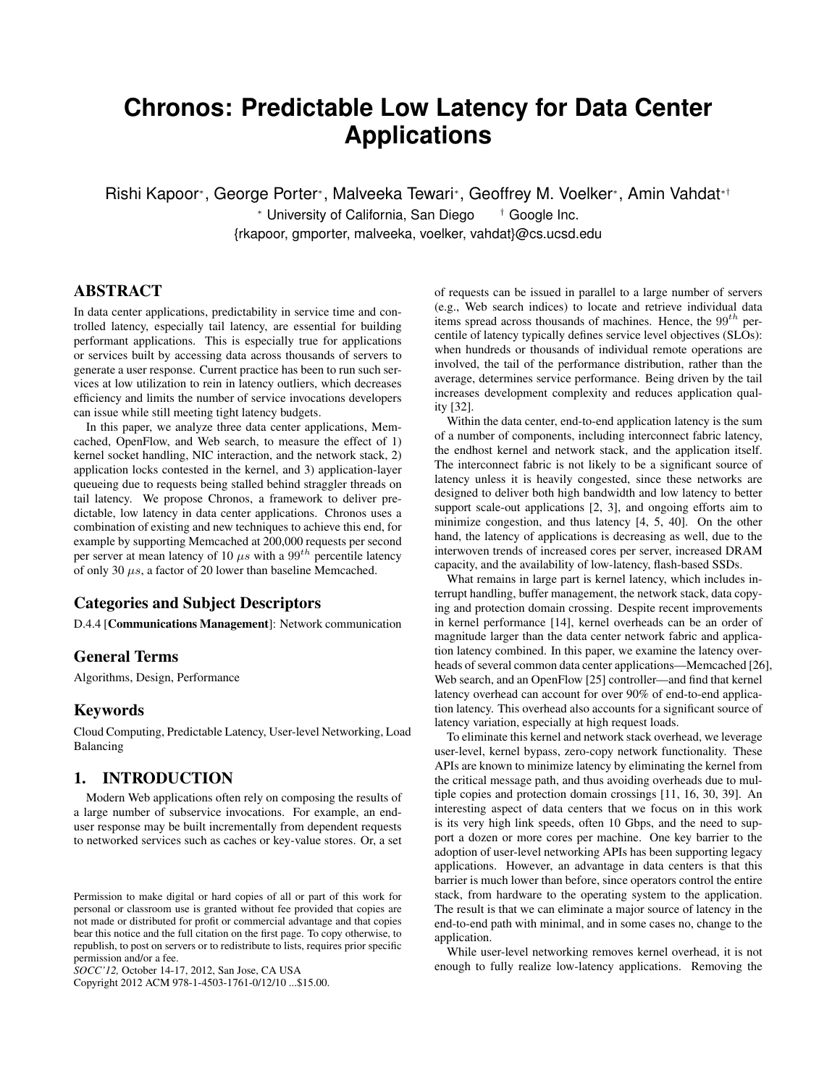# **Chronos: Predictable Low Latency for Data Center Applications**

Rishi Kapoor\*, George Porter\*, Malveeka Tewari\*, Geoffrey M. Voelker\*, Amin Vahdat\*† <sup>∗</sup> University of California, San Diego † Google Inc. {rkapoor, gmporter, malveeka, voelker, vahdat}@cs.ucsd.edu

## ABSTRACT

In data center applications, predictability in service time and controlled latency, especially tail latency, are essential for building performant applications. This is especially true for applications or services built by accessing data across thousands of servers to generate a user response. Current practice has been to run such services at low utilization to rein in latency outliers, which decreases efficiency and limits the number of service invocations developers can issue while still meeting tight latency budgets.

In this paper, we analyze three data center applications, Memcached, OpenFlow, and Web search, to measure the effect of 1) kernel socket handling, NIC interaction, and the network stack, 2) application locks contested in the kernel, and 3) application-layer queueing due to requests being stalled behind straggler threads on tail latency. We propose Chronos, a framework to deliver predictable, low latency in data center applications. Chronos uses a combination of existing and new techniques to achieve this end, for example by supporting Memcached at 200,000 requests per second per server at mean latency of 10  $\mu s$  with a 99<sup>th</sup> percentile latency of only 30  $\mu s$ , a factor of 20 lower than baseline Memcached.

## Categories and Subject Descriptors

D.4.4 [Communications Management]: Network communication

#### General Terms

Algorithms, Design, Performance

#### Keywords

Cloud Computing, Predictable Latency, User-level Networking, Load Balancing

#### 1. INTRODUCTION

Modern Web applications often rely on composing the results of a large number of subservice invocations. For example, an enduser response may be built incrementally from dependent requests to networked services such as caches or key-value stores. Or, a set

Copyright 2012 ACM 978-1-4503-1761-0/12/10 ...\$15.00.

of requests can be issued in parallel to a large number of servers (e.g., Web search indices) to locate and retrieve individual data items spread across thousands of machines. Hence, the  $99^{th}$  percentile of latency typically defines service level objectives (SLOs): when hundreds or thousands of individual remote operations are involved, the tail of the performance distribution, rather than the average, determines service performance. Being driven by the tail increases development complexity and reduces application quality [32].

Within the data center, end-to-end application latency is the sum of a number of components, including interconnect fabric latency, the endhost kernel and network stack, and the application itself. The interconnect fabric is not likely to be a significant source of latency unless it is heavily congested, since these networks are designed to deliver both high bandwidth and low latency to better support scale-out applications [2, 3], and ongoing efforts aim to minimize congestion, and thus latency [4, 5, 40]. On the other hand, the latency of applications is decreasing as well, due to the interwoven trends of increased cores per server, increased DRAM capacity, and the availability of low-latency, flash-based SSDs.

What remains in large part is kernel latency, which includes interrupt handling, buffer management, the network stack, data copying and protection domain crossing. Despite recent improvements in kernel performance [14], kernel overheads can be an order of magnitude larger than the data center network fabric and application latency combined. In this paper, we examine the latency overheads of several common data center applications—Memcached [26], Web search, and an OpenFlow [25] controller—and find that kernel latency overhead can account for over 90% of end-to-end application latency. This overhead also accounts for a significant source of latency variation, especially at high request loads.

To eliminate this kernel and network stack overhead, we leverage user-level, kernel bypass, zero-copy network functionality. These APIs are known to minimize latency by eliminating the kernel from the critical message path, and thus avoiding overheads due to multiple copies and protection domain crossings [11, 16, 30, 39]. An interesting aspect of data centers that we focus on in this work is its very high link speeds, often 10 Gbps, and the need to support a dozen or more cores per machine. One key barrier to the adoption of user-level networking APIs has been supporting legacy applications. However, an advantage in data centers is that this barrier is much lower than before, since operators control the entire stack, from hardware to the operating system to the application. The result is that we can eliminate a major source of latency in the end-to-end path with minimal, and in some cases no, change to the application.

While user-level networking removes kernel overhead, it is not enough to fully realize low-latency applications. Removing the

Permission to make digital or hard copies of all or part of this work for personal or classroom use is granted without fee provided that copies are not made or distributed for profit or commercial advantage and that copies bear this notice and the full citation on the first page. To copy otherwise, to republish, to post on servers or to redistribute to lists, requires prior specific permission and/or a fee.

*SOCC'12,* October 14-17, 2012, San Jose, CA USA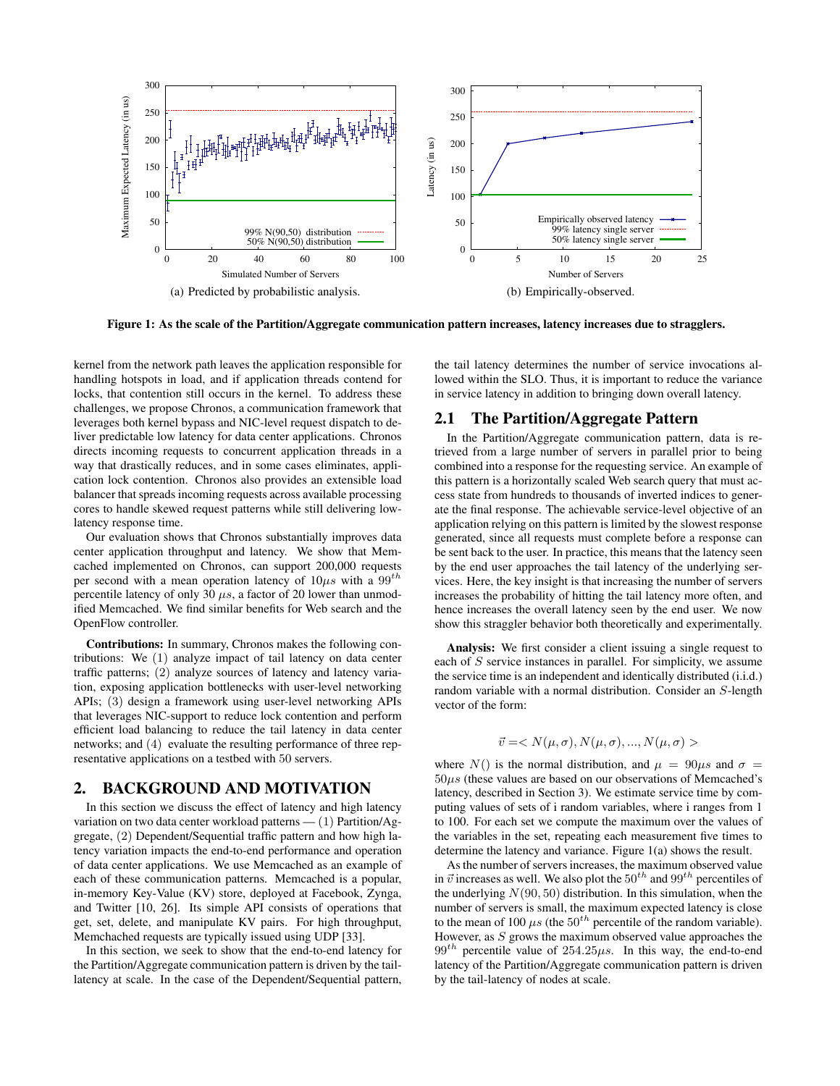

Figure 1: As the scale of the Partition/Aggregate communication pattern increases, latency increases due to stragglers.

kernel from the network path leaves the application responsible for handling hotspots in load, and if application threads contend for locks, that contention still occurs in the kernel. To address these challenges, we propose Chronos, a communication framework that leverages both kernel bypass and NIC-level request dispatch to deliver predictable low latency for data center applications. Chronos directs incoming requests to concurrent application threads in a way that drastically reduces, and in some cases eliminates, application lock contention. Chronos also provides an extensible load balancer that spreads incoming requests across available processing cores to handle skewed request patterns while still delivering lowlatency response time.

Our evaluation shows that Chronos substantially improves data center application throughput and latency. We show that Memcached implemented on Chronos, can support 200,000 requests per second with a mean operation latency of  $10\mu s$  with a  $99^{th}$ percentile latency of only 30  $\mu s$ , a factor of 20 lower than unmodified Memcached. We find similar benefits for Web search and the OpenFlow controller.

Contributions: In summary, Chronos makes the following contributions: We (1) analyze impact of tail latency on data center traffic patterns; (2) analyze sources of latency and latency variation, exposing application bottlenecks with user-level networking APIs; (3) design a framework using user-level networking APIs that leverages NIC-support to reduce lock contention and perform efficient load balancing to reduce the tail latency in data center networks; and (4) evaluate the resulting performance of three representative applications on a testbed with 50 servers.

## 2. BACKGROUND AND MOTIVATION

In this section we discuss the effect of latency and high latency variation on two data center workload patterns — (1) Partition/Aggregate, (2) Dependent/Sequential traffic pattern and how high latency variation impacts the end-to-end performance and operation of data center applications. We use Memcached as an example of each of these communication patterns. Memcached is a popular, in-memory Key-Value (KV) store, deployed at Facebook, Zynga, and Twitter [10, 26]. Its simple API consists of operations that get, set, delete, and manipulate KV pairs. For high throughput, Memchached requests are typically issued using UDP [33].

In this section, we seek to show that the end-to-end latency for the Partition/Aggregate communication pattern is driven by the taillatency at scale. In the case of the Dependent/Sequential pattern,

the tail latency determines the number of service invocations allowed within the SLO. Thus, it is important to reduce the variance in service latency in addition to bringing down overall latency.

#### 2.1 The Partition/Aggregate Pattern

In the Partition/Aggregate communication pattern, data is retrieved from a large number of servers in parallel prior to being combined into a response for the requesting service. An example of this pattern is a horizontally scaled Web search query that must access state from hundreds to thousands of inverted indices to generate the final response. The achievable service-level objective of an application relying on this pattern is limited by the slowest response generated, since all requests must complete before a response can be sent back to the user. In practice, this means that the latency seen by the end user approaches the tail latency of the underlying services. Here, the key insight is that increasing the number of servers increases the probability of hitting the tail latency more often, and hence increases the overall latency seen by the end user. We now show this straggler behavior both theoretically and experimentally.

Analysis: We first consider a client issuing a single request to each of S service instances in parallel. For simplicity, we assume the service time is an independent and identically distributed (i.i.d.) random variable with a normal distribution. Consider an S-length vector of the form:

$$
\vec{v} = \langle N(\mu, \sigma), N(\mu, \sigma), ..., N(\mu, \sigma) \rangle
$$

where  $N()$  is the normal distribution, and  $\mu = 90 \mu s$  and  $\sigma =$  $50\mu s$  (these values are based on our observations of Memcached's latency, described in Section 3). We estimate service time by computing values of sets of i random variables, where i ranges from 1 to 100. For each set we compute the maximum over the values of the variables in the set, repeating each measurement five times to determine the latency and variance. Figure 1(a) shows the result.

As the number of servers increases, the maximum observed value in  $\vec{v}$  increases as well. We also plot the  $50^{th}$  and  $99^{th}$  percentiles of the underlying  $N(90, 50)$  distribution. In this simulation, when the number of servers is small, the maximum expected latency is close to the mean of 100  $\mu s$  (the 50<sup>th</sup> percentile of the random variable). However, as  $S$  grows the maximum observed value approaches the  $99<sup>th</sup>$  percentile value of  $254.25\mu s$ . In this way, the end-to-end latency of the Partition/Aggregate communication pattern is driven by the tail-latency of nodes at scale.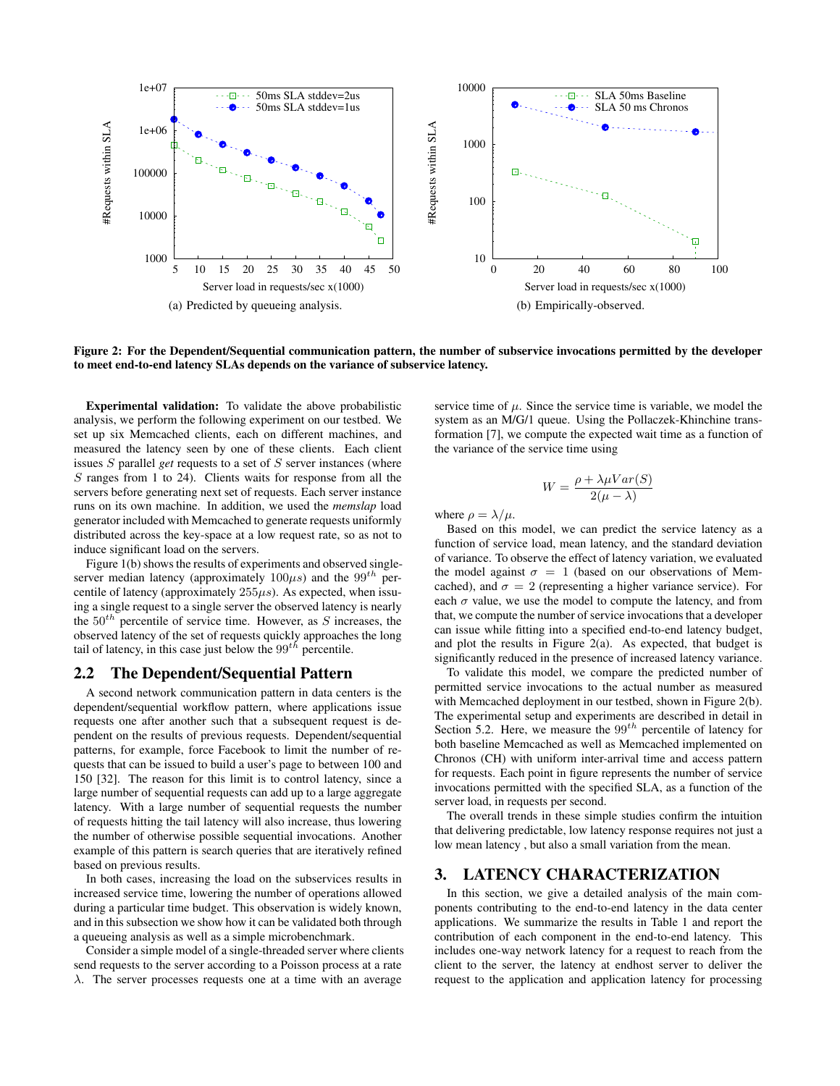

Figure 2: For the Dependent/Sequential communication pattern, the number of subservice invocations permitted by the developer to meet end-to-end latency SLAs depends on the variance of subservice latency.

Experimental validation: To validate the above probabilistic analysis, we perform the following experiment on our testbed. We set up six Memcached clients, each on different machines, and measured the latency seen by one of these clients. Each client issues S parallel *get* requests to a set of S server instances (where S ranges from 1 to 24). Clients waits for response from all the servers before generating next set of requests. Each server instance runs on its own machine. In addition, we used the *memslap* load generator included with Memcached to generate requests uniformly distributed across the key-space at a low request rate, so as not to induce significant load on the servers.

Figure 1(b) shows the results of experiments and observed singleserver median latency (approximately  $100\mu s$ ) and the  $99^{th}$  percentile of latency (approximately  $255\mu s$ ). As expected, when issuing a single request to a single server the observed latency is nearly the  $50<sup>th</sup>$  percentile of service time. However, as S increases, the observed latency of the set of requests quickly approaches the long tail of latency, in this case just below the  $99<sup>th</sup>$  percentile.

#### 2.2 The Dependent/Sequential Pattern

A second network communication pattern in data centers is the dependent/sequential workflow pattern, where applications issue requests one after another such that a subsequent request is dependent on the results of previous requests. Dependent/sequential patterns, for example, force Facebook to limit the number of requests that can be issued to build a user's page to between 100 and 150 [32]. The reason for this limit is to control latency, since a large number of sequential requests can add up to a large aggregate latency. With a large number of sequential requests the number of requests hitting the tail latency will also increase, thus lowering the number of otherwise possible sequential invocations. Another example of this pattern is search queries that are iteratively refined based on previous results.

In both cases, increasing the load on the subservices results in increased service time, lowering the number of operations allowed during a particular time budget. This observation is widely known, and in this subsection we show how it can be validated both through a queueing analysis as well as a simple microbenchmark.

Consider a simple model of a single-threaded server where clients send requests to the server according to a Poisson process at a rate  $\lambda$ . The server processes requests one at a time with an average

service time of  $\mu$ . Since the service time is variable, we model the system as an M/G/1 queue. Using the Pollaczek-Khinchine transformation [7], we compute the expected wait time as a function of the variance of the service time using

$$
W = \frac{\rho + \lambda \mu Var(S)}{2(\mu - \lambda)}
$$

where  $\rho = \lambda/\mu$ .

Based on this model, we can predict the service latency as a function of service load, mean latency, and the standard deviation of variance. To observe the effect of latency variation, we evaluated the model against  $\sigma = 1$  (based on our observations of Memcached), and  $\sigma = 2$  (representing a higher variance service). For each  $\sigma$  value, we use the model to compute the latency, and from that, we compute the number of service invocations that a developer can issue while fitting into a specified end-to-end latency budget, and plot the results in Figure 2(a). As expected, that budget is significantly reduced in the presence of increased latency variance.

To validate this model, we compare the predicted number of permitted service invocations to the actual number as measured with Memcached deployment in our testbed, shown in Figure 2(b). The experimental setup and experiments are described in detail in Section 5.2. Here, we measure the  $99<sup>th</sup>$  percentile of latency for both baseline Memcached as well as Memcached implemented on Chronos (CH) with uniform inter-arrival time and access pattern for requests. Each point in figure represents the number of service invocations permitted with the specified SLA, as a function of the server load, in requests per second.

The overall trends in these simple studies confirm the intuition that delivering predictable, low latency response requires not just a low mean latency , but also a small variation from the mean.

## 3. LATENCY CHARACTERIZATION

In this section, we give a detailed analysis of the main components contributing to the end-to-end latency in the data center applications. We summarize the results in Table 1 and report the contribution of each component in the end-to-end latency. This includes one-way network latency for a request to reach from the client to the server, the latency at endhost server to deliver the request to the application and application latency for processing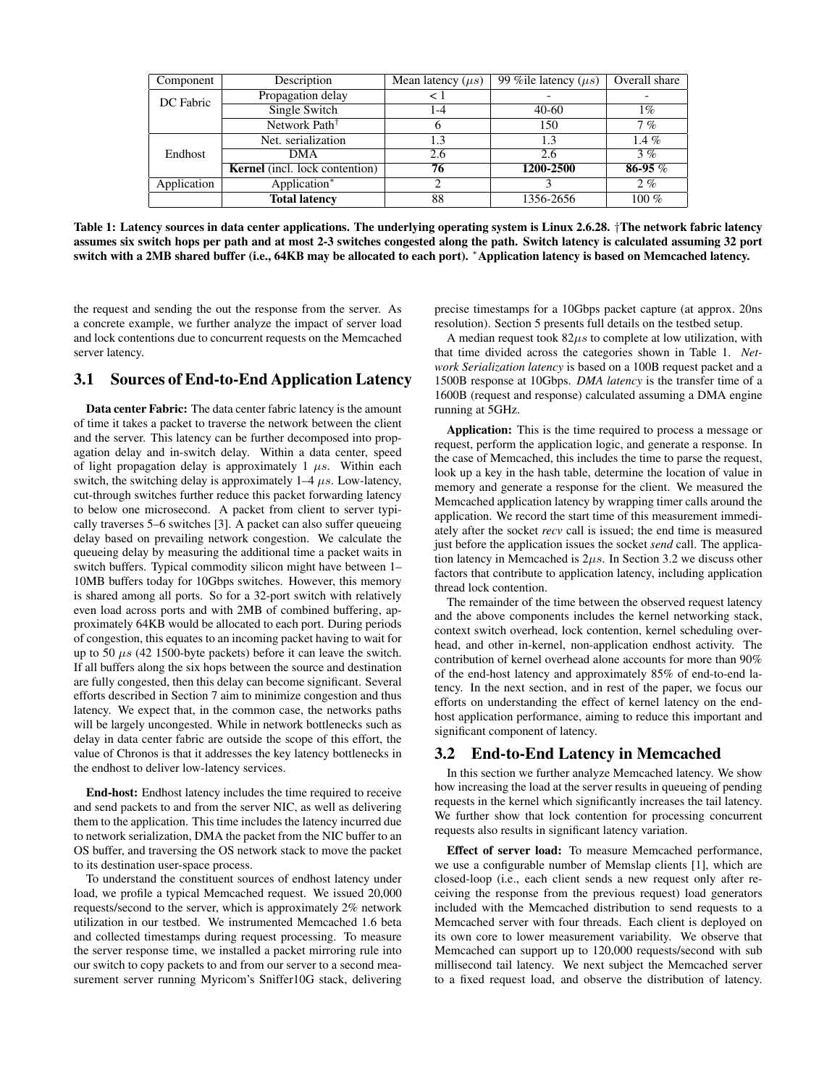| Component   | Description                           | Mean latency $(\mu s)$ | 99 % ile latency $(\mu s)$ | Overall share |
|-------------|---------------------------------------|------------------------|----------------------------|---------------|
| DC Fabric   | Propagation delay                     |                        |                            |               |
|             | Single Switch                         | l -4                   | 40-60                      | 1%            |
|             | Network Path <sup>†</sup>             | o                      | 150                        | 7%            |
|             | Net. serialization                    | 1.3                    | 1.3                        | 1.4 $%$       |
| Endhost     | <b>DMA</b>                            | 2.6                    | 2.6                        | 3%            |
|             | <b>Kernel</b> (incl. lock contention) | 76                     | 1200-2500                  | $86 - 95%$    |
| Application | Application*                          | າ                      |                            | $2\%$         |
|             | <b>Total latency</b>                  | 88                     | 1356-2656                  | $100\%$       |

Table 1: Latency sources in data center applications. The underlying operating system is Linux 2.6.28. †The network fabric latency assumes six switch hops per path and at most 2-3 switches congested along the path. Switch latency is calculated assuming 32 port switch with a 2MB shared buffer (i.e., 64KB may be allocated to each port). \*Application latency is based on Memcached latency.

the request and sending the out the response from the server. As a concrete example, we further analyze the impact of server load and lock contentions due to concurrent requests on the Memcached server latency.

#### 3.1 Sources of End-to-End Application Latency

Data center Fabric: The data center fabric latency is the amount of time it takes a packet to traverse the network between the client and the server. This latency can be further decomposed into propagation delay and in-switch delay. Within a data center, speed of light propagation delay is approximately 1  $\mu s$ . Within each switch, the switching delay is approximately  $1-4 \mu s$ . Low-latency, cut-through switches further reduce this packet forwarding latency to below one microsecond. A packet from client to server typically traverses 5–6 switches [3]. A packet can also suffer queueing delay based on prevailing network congestion. We calculate the queueing delay by measuring the additional time a packet waits in switch buffers. Typical commodity silicon might have between 1– 10MB buffers today for 10Gbps switches. However, this memory is shared among all ports. So for a 32-port switch with relatively even load across ports and with 2MB of combined buffering, approximately 64KB would be allocated to each port. During periods of congestion, this equates to an incoming packet having to wait for up to 50  $\mu s$  (42 1500-byte packets) before it can leave the switch. If all buffers along the six hops between the source and destination are fully congested, then this delay can become significant. Several efforts described in Section 7 aim to minimize congestion and thus latency. We expect that, in the common case, the networks paths will be largely uncongested. While in network bottlenecks such as delay in data center fabric are outside the scope of this effort, the value of Chronos is that it addresses the key latency bottlenecks in the endhost to deliver low-latency services.

End-host: Endhost latency includes the time required to receive and send packets to and from the server NIC, as well as delivering them to the application. This time includes the latency incurred due to network serialization, DMA the packet from the NIC buffer to an OS buffer, and traversing the OS network stack to move the packet to its destination user-space process.

To understand the constituent sources of endhost latency under load, we profile a typical Memcached request. We issued 20,000 requests/second to the server, which is approximately 2% network utilization in our testbed. We instrumented Memcached 1.6 beta and collected timestamps during request processing. To measure the server response time, we installed a packet mirroring rule into our switch to copy packets to and from our server to a second measurement server running Myricom's Sniffer10G stack, delivering

precise timestamps for a 10Gbps packet capture (at approx. 20ns resolution). Section 5 presents full details on the testbed setup.

A median request took  $82\mu s$  to complete at low utilization, with that time divided across the categories shown in Table 1. *Network Serialization latency* is based on a 100B request packet and a 1500B response at 10Gbps. *DMA latency* is the transfer time of a 1600B (request and response) calculated assuming a DMA engine running at 5GHz.

Application: This is the time required to process a message or request, perform the application logic, and generate a response. In the case of Memcached, this includes the time to parse the request, look up a key in the hash table, determine the location of value in memory and generate a response for the client. We measured the Memcached application latency by wrapping timer calls around the application. We record the start time of this measurement immediately after the socket *recv* call is issued; the end time is measured just before the application issues the socket *send* call. The application latency in Memcached is  $2\mu s$ . In Section 3.2 we discuss other factors that contribute to application latency, including application thread lock contention.

The remainder of the time between the observed request latency and the above components includes the kernel networking stack, context switch overhead, lock contention, kernel scheduling overhead, and other in-kernel, non-application endhost activity. The contribution of kernel overhead alone accounts for more than 90% of the end-host latency and approximately 85% of end-to-end latency. In the next section, and in rest of the paper, we focus our efforts on understanding the effect of kernel latency on the endhost application performance, aiming to reduce this important and significant component of latency.

## 3.2 End-to-End Latency in Memcached

In this section we further analyze Memcached latency. We show how increasing the load at the server results in queueing of pending requests in the kernel which significantly increases the tail latency. We further show that lock contention for processing concurrent requests also results in significant latency variation.

Effect of server load: To measure Memcached performance, we use a configurable number of Memslap clients [1], which are closed-loop (i.e., each client sends a new request only after receiving the response from the previous request) load generators included with the Memcached distribution to send requests to a Memcached server with four threads. Each client is deployed on its own core to lower measurement variability. We observe that Memcached can support up to 120,000 requests/second with sub millisecond tail latency. We next subject the Memcached server to a fixed request load, and observe the distribution of latency.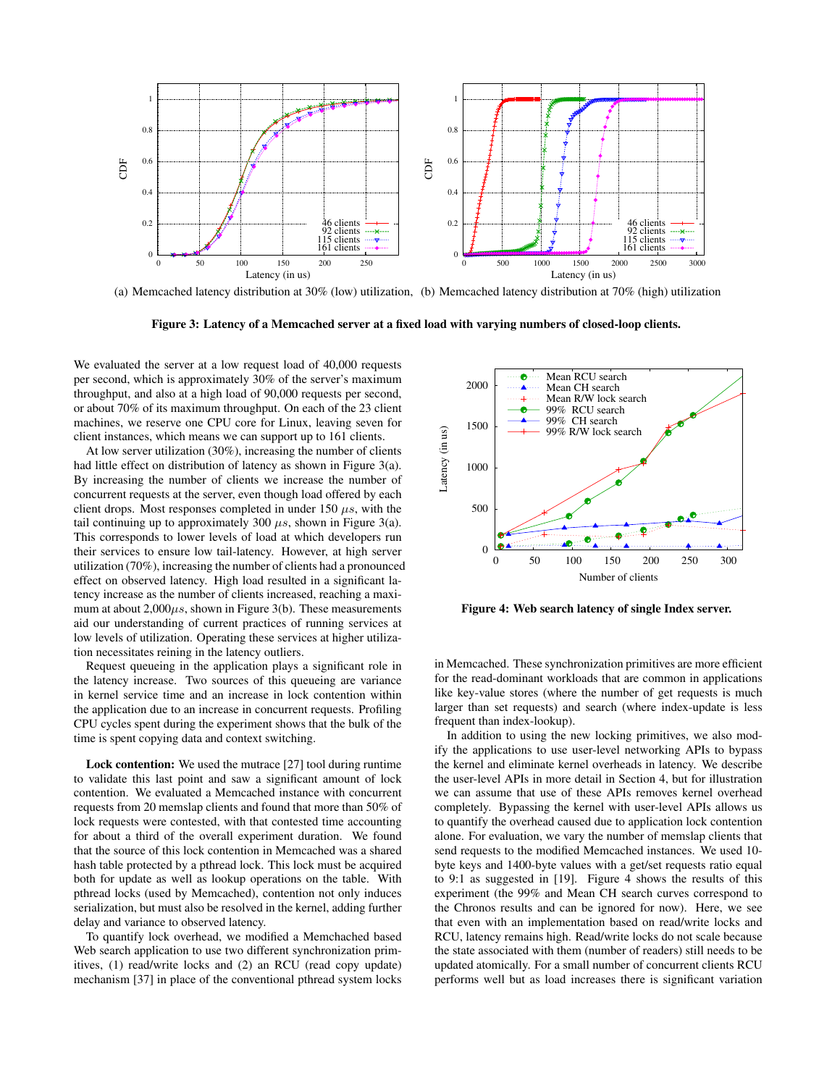

(a) Memcached latency distribution at 30% (low) utilization, (b) Memcached latency distribution at 70% (high) utilization

Figure 3: Latency of a Memcached server at a fixed load with varying numbers of closed-loop clients.

We evaluated the server at a low request load of 40,000 requests per second, which is approximately 30% of the server's maximum throughput, and also at a high load of 90,000 requests per second, or about 70% of its maximum throughput. On each of the 23 client machines, we reserve one CPU core for Linux, leaving seven for client instances, which means we can support up to 161 clients.

At low server utilization (30%), increasing the number of clients had little effect on distribution of latency as shown in Figure 3(a). By increasing the number of clients we increase the number of concurrent requests at the server, even though load offered by each client drops. Most responses completed in under 150  $\mu s$ , with the tail continuing up to approximately 300  $\mu s$ , shown in Figure 3(a). This corresponds to lower levels of load at which developers run their services to ensure low tail-latency. However, at high server utilization (70%), increasing the number of clients had a pronounced effect on observed latency. High load resulted in a significant latency increase as the number of clients increased, reaching a maximum at about  $2,000\mu s$ , shown in Figure 3(b). These measurements aid our understanding of current practices of running services at low levels of utilization. Operating these services at higher utilization necessitates reining in the latency outliers.

Request queueing in the application plays a significant role in the latency increase. Two sources of this queueing are variance in kernel service time and an increase in lock contention within the application due to an increase in concurrent requests. Profiling CPU cycles spent during the experiment shows that the bulk of the time is spent copying data and context switching.

Lock contention: We used the mutrace [27] tool during runtime to validate this last point and saw a significant amount of lock contention. We evaluated a Memcached instance with concurrent requests from 20 memslap clients and found that more than 50% of lock requests were contested, with that contested time accounting for about a third of the overall experiment duration. We found that the source of this lock contention in Memcached was a shared hash table protected by a pthread lock. This lock must be acquired both for update as well as lookup operations on the table. With pthread locks (used by Memcached), contention not only induces serialization, but must also be resolved in the kernel, adding further delay and variance to observed latency.

To quantify lock overhead, we modified a Memchached based Web search application to use two different synchronization primitives, (1) read/write locks and (2) an RCU (read copy update) mechanism [37] in place of the conventional pthread system locks



Figure 4: Web search latency of single Index server.

in Memcached. These synchronization primitives are more efficient for the read-dominant workloads that are common in applications like key-value stores (where the number of get requests is much larger than set requests) and search (where index-update is less frequent than index-lookup).

In addition to using the new locking primitives, we also modify the applications to use user-level networking APIs to bypass the kernel and eliminate kernel overheads in latency. We describe the user-level APIs in more detail in Section 4, but for illustration we can assume that use of these APIs removes kernel overhead completely. Bypassing the kernel with user-level APIs allows us to quantify the overhead caused due to application lock contention alone. For evaluation, we vary the number of memslap clients that send requests to the modified Memcached instances. We used 10 byte keys and 1400-byte values with a get/set requests ratio equal to 9:1 as suggested in [19]. Figure 4 shows the results of this experiment (the 99% and Mean CH search curves correspond to the Chronos results and can be ignored for now). Here, we see that even with an implementation based on read/write locks and RCU, latency remains high. Read/write locks do not scale because the state associated with them (number of readers) still needs to be updated atomically. For a small number of concurrent clients RCU performs well but as load increases there is significant variation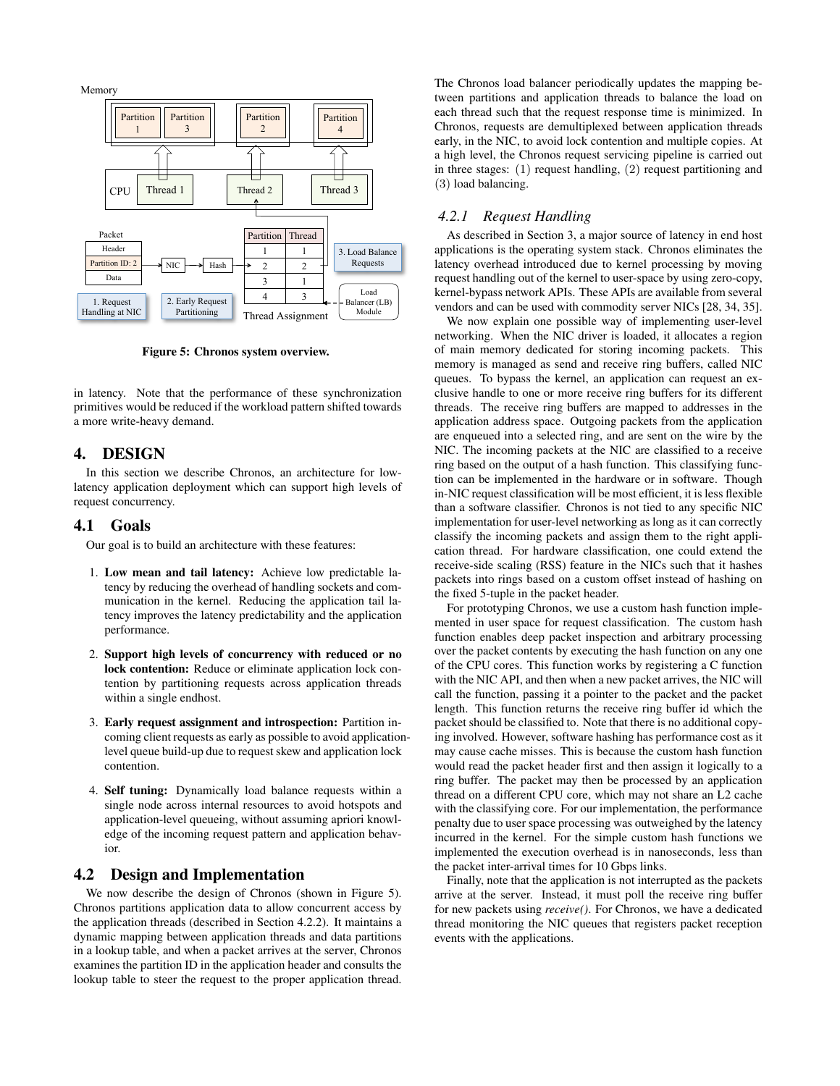Memory



Figure 5: Chronos system overview.

in latency. Note that the performance of these synchronization primitives would be reduced if the workload pattern shifted towards a more write-heavy demand.

## 4. DESIGN

In this section we describe Chronos, an architecture for lowlatency application deployment which can support high levels of request concurrency.

#### 4.1 Goals

Our goal is to build an architecture with these features:

- 1. Low mean and tail latency: Achieve low predictable latency by reducing the overhead of handling sockets and communication in the kernel. Reducing the application tail latency improves the latency predictability and the application performance.
- 2. Support high levels of concurrency with reduced or no lock contention: Reduce or eliminate application lock contention by partitioning requests across application threads within a single endhost.
- 3. Early request assignment and introspection: Partition incoming client requests as early as possible to avoid applicationlevel queue build-up due to request skew and application lock contention.
- 4. Self tuning: Dynamically load balance requests within a single node across internal resources to avoid hotspots and application-level queueing, without assuming apriori knowledge of the incoming request pattern and application behavior.

## 4.2 Design and Implementation

We now describe the design of Chronos (shown in Figure 5). Chronos partitions application data to allow concurrent access by the application threads (described in Section 4.2.2). It maintains a dynamic mapping between application threads and data partitions in a lookup table, and when a packet arrives at the server, Chronos examines the partition ID in the application header and consults the lookup table to steer the request to the proper application thread.

The Chronos load balancer periodically updates the mapping between partitions and application threads to balance the load on each thread such that the request response time is minimized. In Chronos, requests are demultiplexed between application threads early, in the NIC, to avoid lock contention and multiple copies. At a high level, the Chronos request servicing pipeline is carried out in three stages: (1) request handling, (2) request partitioning and (3) load balancing.

#### *4.2.1 Request Handling*

As described in Section 3, a major source of latency in end host applications is the operating system stack. Chronos eliminates the latency overhead introduced due to kernel processing by moving request handling out of the kernel to user-space by using zero-copy, kernel-bypass network APIs. These APIs are available from several vendors and can be used with commodity server NICs [28, 34, 35].

We now explain one possible way of implementing user-level networking. When the NIC driver is loaded, it allocates a region of main memory dedicated for storing incoming packets. This memory is managed as send and receive ring buffers, called NIC queues. To bypass the kernel, an application can request an exclusive handle to one or more receive ring buffers for its different threads. The receive ring buffers are mapped to addresses in the application address space. Outgoing packets from the application are enqueued into a selected ring, and are sent on the wire by the NIC. The incoming packets at the NIC are classified to a receive ring based on the output of a hash function. This classifying function can be implemented in the hardware or in software. Though in-NIC request classification will be most efficient, it is less flexible than a software classifier. Chronos is not tied to any specific NIC implementation for user-level networking as long as it can correctly classify the incoming packets and assign them to the right application thread. For hardware classification, one could extend the receive-side scaling (RSS) feature in the NICs such that it hashes packets into rings based on a custom offset instead of hashing on the fixed 5-tuple in the packet header.

For prototyping Chronos, we use a custom hash function implemented in user space for request classification. The custom hash function enables deep packet inspection and arbitrary processing over the packet contents by executing the hash function on any one of the CPU cores. This function works by registering a C function with the NIC API, and then when a new packet arrives, the NIC will call the function, passing it a pointer to the packet and the packet length. This function returns the receive ring buffer id which the packet should be classified to. Note that there is no additional copying involved. However, software hashing has performance cost as it may cause cache misses. This is because the custom hash function would read the packet header first and then assign it logically to a ring buffer. The packet may then be processed by an application thread on a different CPU core, which may not share an L2 cache with the classifying core. For our implementation, the performance penalty due to user space processing was outweighed by the latency incurred in the kernel. For the simple custom hash functions we implemented the execution overhead is in nanoseconds, less than the packet inter-arrival times for 10 Gbps links.

Finally, note that the application is not interrupted as the packets arrive at the server. Instead, it must poll the receive ring buffer for new packets using *receive()*. For Chronos, we have a dedicated thread monitoring the NIC queues that registers packet reception events with the applications.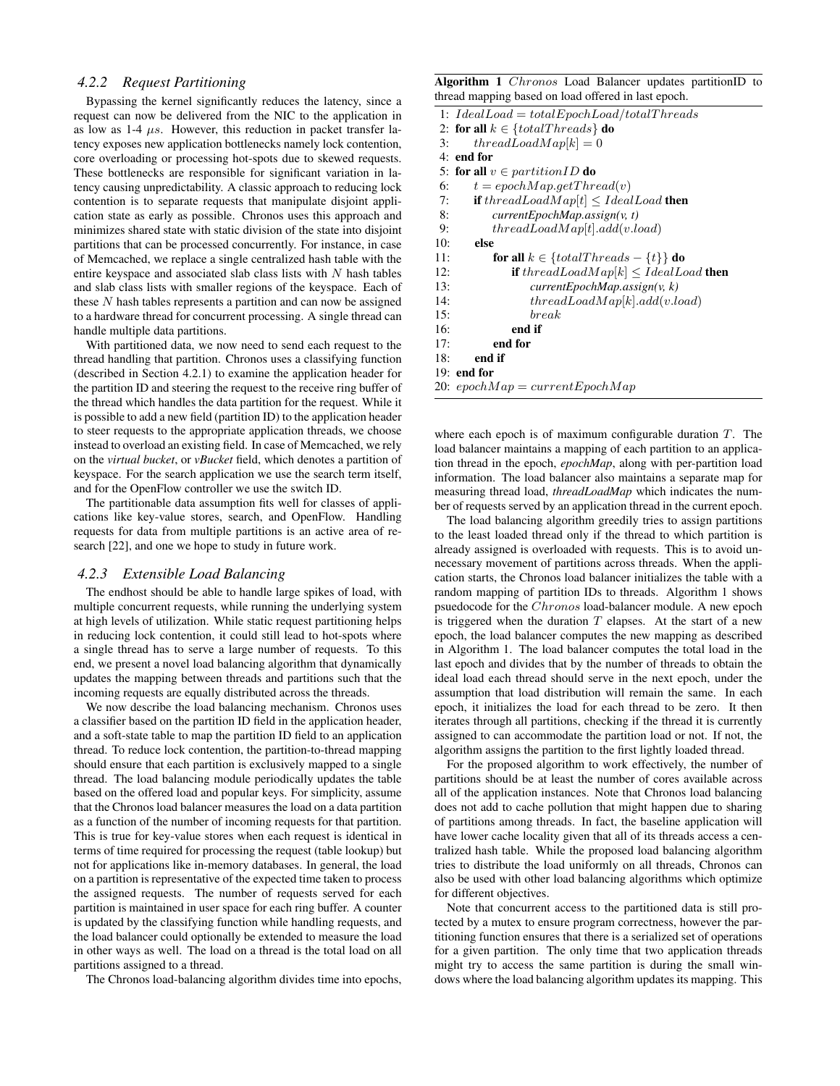#### *4.2.2 Request Partitioning*

Bypassing the kernel significantly reduces the latency, since a request can now be delivered from the NIC to the application in as low as 1-4  $\mu s$ . However, this reduction in packet transfer latency exposes new application bottlenecks namely lock contention, core overloading or processing hot-spots due to skewed requests. These bottlenecks are responsible for significant variation in latency causing unpredictability. A classic approach to reducing lock contention is to separate requests that manipulate disjoint application state as early as possible. Chronos uses this approach and minimizes shared state with static division of the state into disjoint partitions that can be processed concurrently. For instance, in case of Memcached, we replace a single centralized hash table with the entire keyspace and associated slab class lists with  $N$  hash tables and slab class lists with smaller regions of the keyspace. Each of these  $N$  hash tables represents a partition and can now be assigned to a hardware thread for concurrent processing. A single thread can handle multiple data partitions.

With partitioned data, we now need to send each request to the thread handling that partition. Chronos uses a classifying function (described in Section 4.2.1) to examine the application header for the partition ID and steering the request to the receive ring buffer of the thread which handles the data partition for the request. While it is possible to add a new field (partition ID) to the application header to steer requests to the appropriate application threads, we choose instead to overload an existing field. In case of Memcached, we rely on the *virtual bucket*, or *vBucket* field, which denotes a partition of keyspace. For the search application we use the search term itself, and for the OpenFlow controller we use the switch ID.

The partitionable data assumption fits well for classes of applications like key-value stores, search, and OpenFlow. Handling requests for data from multiple partitions is an active area of research [22], and one we hope to study in future work.

#### *4.2.3 Extensible Load Balancing*

The endhost should be able to handle large spikes of load, with multiple concurrent requests, while running the underlying system at high levels of utilization. While static request partitioning helps in reducing lock contention, it could still lead to hot-spots where a single thread has to serve a large number of requests. To this end, we present a novel load balancing algorithm that dynamically updates the mapping between threads and partitions such that the incoming requests are equally distributed across the threads.

We now describe the load balancing mechanism. Chronos uses a classifier based on the partition ID field in the application header, and a soft-state table to map the partition ID field to an application thread. To reduce lock contention, the partition-to-thread mapping should ensure that each partition is exclusively mapped to a single thread. The load balancing module periodically updates the table based on the offered load and popular keys. For simplicity, assume that the Chronos load balancer measures the load on a data partition as a function of the number of incoming requests for that partition. This is true for key-value stores when each request is identical in terms of time required for processing the request (table lookup) but not for applications like in-memory databases. In general, the load on a partition is representative of the expected time taken to process the assigned requests. The number of requests served for each partition is maintained in user space for each ring buffer. A counter is updated by the classifying function while handling requests, and the load balancer could optionally be extended to measure the load in other ways as well. The load on a thread is the total load on all partitions assigned to a thread.

The Chronos load-balancing algorithm divides time into epochs,

Algorithm 1 Chronos Load Balancer updates partitionID to thread mapping based on load offered in last epoch.

|     | 1: $IdealLoad = totalEpochLoad / totalThreads$          |
|-----|---------------------------------------------------------|
|     | 2: for all $k \in \{totalThreads\}$ do                  |
| 3:  | $threadLoadMap[k] = 0$                                  |
|     | $4:$ end for                                            |
|     | 5: for all $v \in partitionID$ do                       |
| 6:  | $t = epochMap.getThread(v)$                             |
| 7:  | <b>if</b> threadLoadMap[t] $\leq$ IdealLoad <b>then</b> |
| 8:  | currentEpochMap. assign(v, t)                           |
| 9:  | threadLoadMap[t].add(v.load)                            |
| 10: | else                                                    |
| 11: | for all $k \in \{totalThreads - \{t\}\}\$ do            |
| 12: | if threadLoadMap[k] $\leq$ IdealLoad then               |
| 13: | currentEpochMap. assign(v, k)                           |
| 14: | threadLoadMap[k].add(v.load)                            |
| 15: | break                                                   |
| 16: | end if                                                  |
| 17: | end for                                                 |
| 18: | end if                                                  |
|     | $19:$ end for                                           |
|     | 20: epoch $Map = currentEpochMap$                       |

where each epoch is of maximum configurable duration  $T$ . The load balancer maintains a mapping of each partition to an application thread in the epoch, *epochMap*, along with per-partition load information. The load balancer also maintains a separate map for measuring thread load, *threadLoadMap* which indicates the number of requests served by an application thread in the current epoch.

The load balancing algorithm greedily tries to assign partitions to the least loaded thread only if the thread to which partition is already assigned is overloaded with requests. This is to avoid unnecessary movement of partitions across threads. When the application starts, the Chronos load balancer initializes the table with a random mapping of partition IDs to threads. Algorithm 1 shows psuedocode for the Chronos load-balancer module. A new epoch is triggered when the duration  $T$  elapses. At the start of a new epoch, the load balancer computes the new mapping as described in Algorithm 1. The load balancer computes the total load in the last epoch and divides that by the number of threads to obtain the ideal load each thread should serve in the next epoch, under the assumption that load distribution will remain the same. In each epoch, it initializes the load for each thread to be zero. It then iterates through all partitions, checking if the thread it is currently assigned to can accommodate the partition load or not. If not, the algorithm assigns the partition to the first lightly loaded thread.

For the proposed algorithm to work effectively, the number of partitions should be at least the number of cores available across all of the application instances. Note that Chronos load balancing does not add to cache pollution that might happen due to sharing of partitions among threads. In fact, the baseline application will have lower cache locality given that all of its threads access a centralized hash table. While the proposed load balancing algorithm tries to distribute the load uniformly on all threads, Chronos can also be used with other load balancing algorithms which optimize for different objectives.

Note that concurrent access to the partitioned data is still protected by a mutex to ensure program correctness, however the partitioning function ensures that there is a serialized set of operations for a given partition. The only time that two application threads might try to access the same partition is during the small windows where the load balancing algorithm updates its mapping. This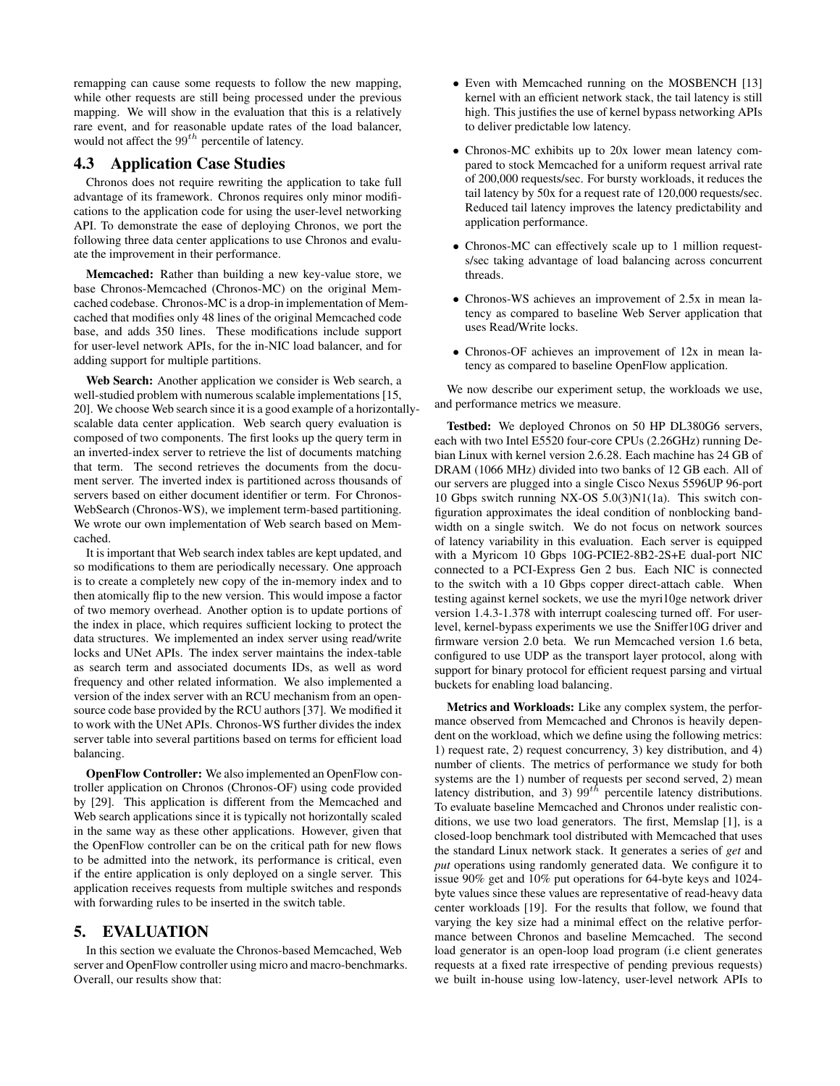remapping can cause some requests to follow the new mapping, while other requests are still being processed under the previous mapping. We will show in the evaluation that this is a relatively rare event, and for reasonable update rates of the load balancer, would not affect the  $99<sup>th</sup>$  percentile of latency.

## 4.3 Application Case Studies

Chronos does not require rewriting the application to take full advantage of its framework. Chronos requires only minor modifications to the application code for using the user-level networking API. To demonstrate the ease of deploying Chronos, we port the following three data center applications to use Chronos and evaluate the improvement in their performance.

Memcached: Rather than building a new key-value store, we base Chronos-Memcached (Chronos-MC) on the original Memcached codebase. Chronos-MC is a drop-in implementation of Memcached that modifies only 48 lines of the original Memcached code base, and adds 350 lines. These modifications include support for user-level network APIs, for the in-NIC load balancer, and for adding support for multiple partitions.

Web Search: Another application we consider is Web search, a well-studied problem with numerous scalable implementations [15, 20]. We choose Web search since it is a good example of a horizontallyscalable data center application. Web search query evaluation is composed of two components. The first looks up the query term in an inverted-index server to retrieve the list of documents matching that term. The second retrieves the documents from the document server. The inverted index is partitioned across thousands of servers based on either document identifier or term. For Chronos-WebSearch (Chronos-WS), we implement term-based partitioning. We wrote our own implementation of Web search based on Memcached.

It is important that Web search index tables are kept updated, and so modifications to them are periodically necessary. One approach is to create a completely new copy of the in-memory index and to then atomically flip to the new version. This would impose a factor of two memory overhead. Another option is to update portions of the index in place, which requires sufficient locking to protect the data structures. We implemented an index server using read/write locks and UNet APIs. The index server maintains the index-table as search term and associated documents IDs, as well as word frequency and other related information. We also implemented a version of the index server with an RCU mechanism from an opensource code base provided by the RCU authors [37]. We modified it to work with the UNet APIs. Chronos-WS further divides the index server table into several partitions based on terms for efficient load balancing.

OpenFlow Controller: We also implemented an OpenFlow controller application on Chronos (Chronos-OF) using code provided by [29]. This application is different from the Memcached and Web search applications since it is typically not horizontally scaled in the same way as these other applications. However, given that the OpenFlow controller can be on the critical path for new flows to be admitted into the network, its performance is critical, even if the entire application is only deployed on a single server. This application receives requests from multiple switches and responds with forwarding rules to be inserted in the switch table.

#### 5. EVALUATION

In this section we evaluate the Chronos-based Memcached, Web server and OpenFlow controller using micro and macro-benchmarks. Overall, our results show that:

- Even with Memcached running on the MOSBENCH [13] kernel with an efficient network stack, the tail latency is still high. This justifies the use of kernel bypass networking APIs to deliver predictable low latency.
- Chronos-MC exhibits up to 20x lower mean latency compared to stock Memcached for a uniform request arrival rate of 200,000 requests/sec. For bursty workloads, it reduces the tail latency by 50x for a request rate of 120,000 requests/sec. Reduced tail latency improves the latency predictability and application performance.
- Chronos-MC can effectively scale up to 1 million requests/sec taking advantage of load balancing across concurrent threads.
- Chronos-WS achieves an improvement of 2.5x in mean latency as compared to baseline Web Server application that uses Read/Write locks.
- Chronos-OF achieves an improvement of 12x in mean latency as compared to baseline OpenFlow application.

We now describe our experiment setup, the workloads we use, and performance metrics we measure.

Testbed: We deployed Chronos on 50 HP DL380G6 servers, each with two Intel E5520 four-core CPUs (2.26GHz) running Debian Linux with kernel version 2.6.28. Each machine has 24 GB of DRAM (1066 MHz) divided into two banks of 12 GB each. All of our servers are plugged into a single Cisco Nexus 5596UP 96-port 10 Gbps switch running NX-OS 5.0(3)N1(1a). This switch configuration approximates the ideal condition of nonblocking bandwidth on a single switch. We do not focus on network sources of latency variability in this evaluation. Each server is equipped with a Myricom 10 Gbps 10G-PCIE2-8B2-2S+E dual-port NIC connected to a PCI-Express Gen 2 bus. Each NIC is connected to the switch with a 10 Gbps copper direct-attach cable. When testing against kernel sockets, we use the myri10ge network driver version 1.4.3-1.378 with interrupt coalescing turned off. For userlevel, kernel-bypass experiments we use the Sniffer10G driver and firmware version 2.0 beta. We run Memcached version 1.6 beta, configured to use UDP as the transport layer protocol, along with support for binary protocol for efficient request parsing and virtual buckets for enabling load balancing.

Metrics and Workloads: Like any complex system, the performance observed from Memcached and Chronos is heavily dependent on the workload, which we define using the following metrics: 1) request rate, 2) request concurrency, 3) key distribution, and 4) number of clients. The metrics of performance we study for both systems are the 1) number of requests per second served, 2) mean latency distribution, and 3)  $99^{t\bar{h}}$  percentile latency distributions. To evaluate baseline Memcached and Chronos under realistic conditions, we use two load generators. The first, Memslap [1], is a closed-loop benchmark tool distributed with Memcached that uses the standard Linux network stack. It generates a series of *get* and *put* operations using randomly generated data. We configure it to issue 90% get and 10% put operations for 64-byte keys and 1024 byte values since these values are representative of read-heavy data center workloads [19]. For the results that follow, we found that varying the key size had a minimal effect on the relative performance between Chronos and baseline Memcached. The second load generator is an open-loop load program (i.e client generates requests at a fixed rate irrespective of pending previous requests) we built in-house using low-latency, user-level network APIs to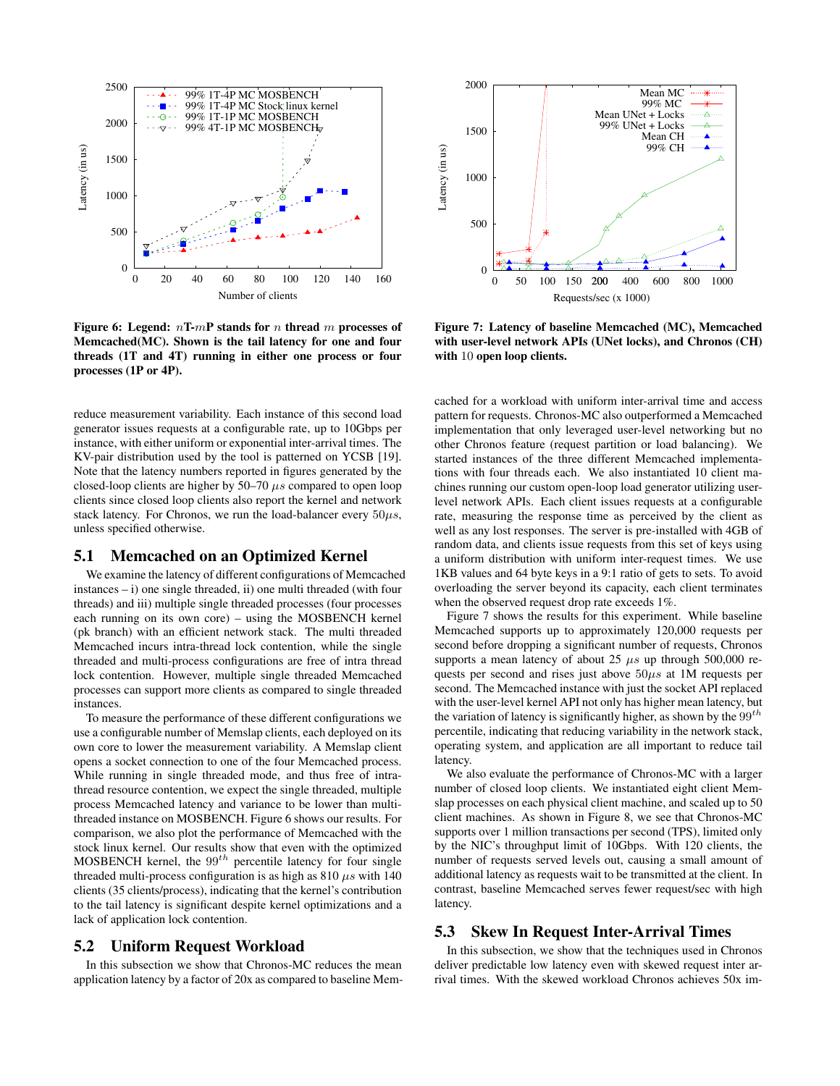

Figure 6: Legend:  $nT-mP$  stands for n thread m processes of Memcached(MC). Shown is the tail latency for one and four threads (1T and 4T) running in either one process or four processes (1P or 4P).

reduce measurement variability. Each instance of this second load generator issues requests at a configurable rate, up to 10Gbps per instance, with either uniform or exponential inter-arrival times. The KV-pair distribution used by the tool is patterned on YCSB [19]. Note that the latency numbers reported in figures generated by the closed-loop clients are higher by  $50-70 \mu s$  compared to open loop clients since closed loop clients also report the kernel and network stack latency. For Chronos, we run the load-balancer every  $50\mu s$ , unless specified otherwise.

#### 5.1 Memcached on an Optimized Kernel

We examine the latency of different configurations of Memcached instances – i) one single threaded, ii) one multi threaded (with four threads) and iii) multiple single threaded processes (four processes each running on its own core) – using the MOSBENCH kernel (pk branch) with an efficient network stack. The multi threaded Memcached incurs intra-thread lock contention, while the single threaded and multi-process configurations are free of intra thread lock contention. However, multiple single threaded Memcached processes can support more clients as compared to single threaded instances.

To measure the performance of these different configurations we use a configurable number of Memslap clients, each deployed on its own core to lower the measurement variability. A Memslap client opens a socket connection to one of the four Memcached process. While running in single threaded mode, and thus free of intrathread resource contention, we expect the single threaded, multiple process Memcached latency and variance to be lower than multithreaded instance on MOSBENCH. Figure 6 shows our results. For comparison, we also plot the performance of Memcached with the stock linux kernel. Our results show that even with the optimized MOSBENCH kernel, the  $99<sup>th</sup>$  percentile latency for four single threaded multi-process configuration is as high as  $810 \mu s$  with 140 clients (35 clients/process), indicating that the kernel's contribution to the tail latency is significant despite kernel optimizations and a lack of application lock contention.

#### 5.2 Uniform Request Workload

In this subsection we show that Chronos-MC reduces the mean application latency by a factor of 20x as compared to baseline Mem-



Figure 7: Latency of baseline Memcached (MC), Memcached with user-level network APIs (UNet locks), and Chronos (CH) with 10 open loop clients.

cached for a workload with uniform inter-arrival time and access pattern for requests. Chronos-MC also outperformed a Memcached implementation that only leveraged user-level networking but no other Chronos feature (request partition or load balancing). We started instances of the three different Memcached implementations with four threads each. We also instantiated 10 client machines running our custom open-loop load generator utilizing userlevel network APIs. Each client issues requests at a configurable rate, measuring the response time as perceived by the client as well as any lost responses. The server is pre-installed with 4GB of random data, and clients issue requests from this set of keys using a uniform distribution with uniform inter-request times. We use 1KB values and 64 byte keys in a 9:1 ratio of gets to sets. To avoid overloading the server beyond its capacity, each client terminates when the observed request drop rate exceeds 1%.

Figure 7 shows the results for this experiment. While baseline Memcached supports up to approximately 120,000 requests per second before dropping a significant number of requests, Chronos supports a mean latency of about 25  $\mu s$  up through 500,000 requests per second and rises just above  $50\mu s$  at 1M requests per second. The Memcached instance with just the socket API replaced with the user-level kernel API not only has higher mean latency, but the variation of latency is significantly higher, as shown by the  $99<sup>th</sup>$ percentile, indicating that reducing variability in the network stack, operating system, and application are all important to reduce tail latency.

We also evaluate the performance of Chronos-MC with a larger number of closed loop clients. We instantiated eight client Memslap processes on each physical client machine, and scaled up to 50 client machines. As shown in Figure 8, we see that Chronos-MC supports over 1 million transactions per second (TPS), limited only by the NIC's throughput limit of 10Gbps. With 120 clients, the number of requests served levels out, causing a small amount of additional latency as requests wait to be transmitted at the client. In contrast, baseline Memcached serves fewer request/sec with high latency.

## 5.3 Skew In Request Inter-Arrival Times

In this subsection, we show that the techniques used in Chronos deliver predictable low latency even with skewed request inter arrival times. With the skewed workload Chronos achieves 50x im-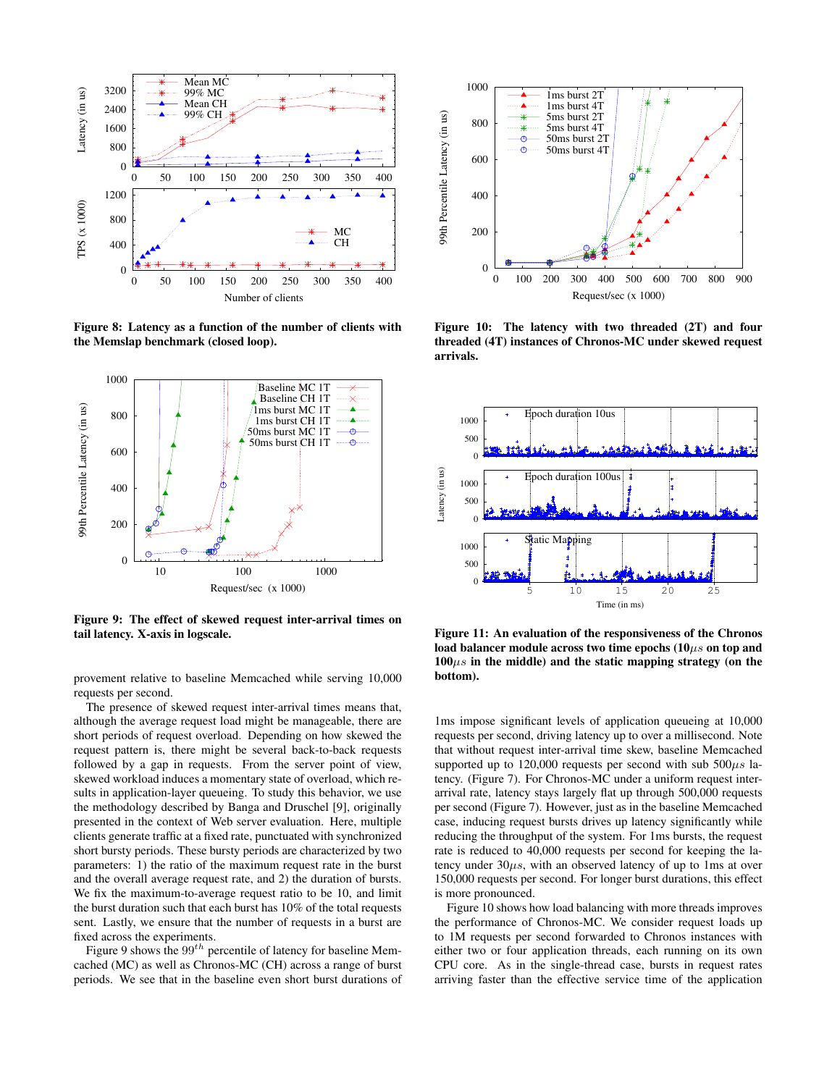

Figure 8: Latency as a function of the number of clients with the Memslap benchmark (closed loop).



Figure 9: The effect of skewed request inter-arrival times on tail latency. X-axis in logscale.

provement relative to baseline Memcached while serving 10,000 requests per second.

The presence of skewed request inter-arrival times means that, although the average request load might be manageable, there are short periods of request overload. Depending on how skewed the request pattern is, there might be several back-to-back requests followed by a gap in requests. From the server point of view, skewed workload induces a momentary state of overload, which results in application-layer queueing. To study this behavior, we use the methodology described by Banga and Druschel [9], originally presented in the context of Web server evaluation. Here, multiple clients generate traffic at a fixed rate, punctuated with synchronized short bursty periods. These bursty periods are characterized by two parameters: 1) the ratio of the maximum request rate in the burst and the overall average request rate, and 2) the duration of bursts. We fix the maximum-to-average request ratio to be 10, and limit the burst duration such that each burst has 10% of the total requests sent. Lastly, we ensure that the number of requests in a burst are fixed across the experiments.

Figure 9 shows the  $99^{th}$  percentile of latency for baseline Memcached (MC) as well as Chronos-MC (CH) across a range of burst periods. We see that in the baseline even short burst durations of



Figure 10: The latency with two threaded (2T) and four threaded (4T) instances of Chronos-MC under skewed request arrivals.



Figure 11: An evaluation of the responsiveness of the Chronos load balancer module across two time epochs  $(10 \mu s)$  on top and  $100\mu s$  in the middle) and the static mapping strategy (on the bottom).

1ms impose significant levels of application queueing at 10,000 requests per second, driving latency up to over a millisecond. Note that without request inter-arrival time skew, baseline Memcached supported up to 120,000 requests per second with sub  $500\mu s$  latency. (Figure 7). For Chronos-MC under a uniform request interarrival rate, latency stays largely flat up through 500,000 requests per second (Figure 7). However, just as in the baseline Memcached case, inducing request bursts drives up latency significantly while reducing the throughput of the system. For 1ms bursts, the request rate is reduced to 40,000 requests per second for keeping the latency under  $30\mu s$ , with an observed latency of up to 1ms at over 150,000 requests per second. For longer burst durations, this effect is more pronounced.

Figure 10 shows how load balancing with more threads improves the performance of Chronos-MC. We consider request loads up to 1M requests per second forwarded to Chronos instances with either two or four application threads, each running on its own CPU core. As in the single-thread case, bursts in request rates arriving faster than the effective service time of the application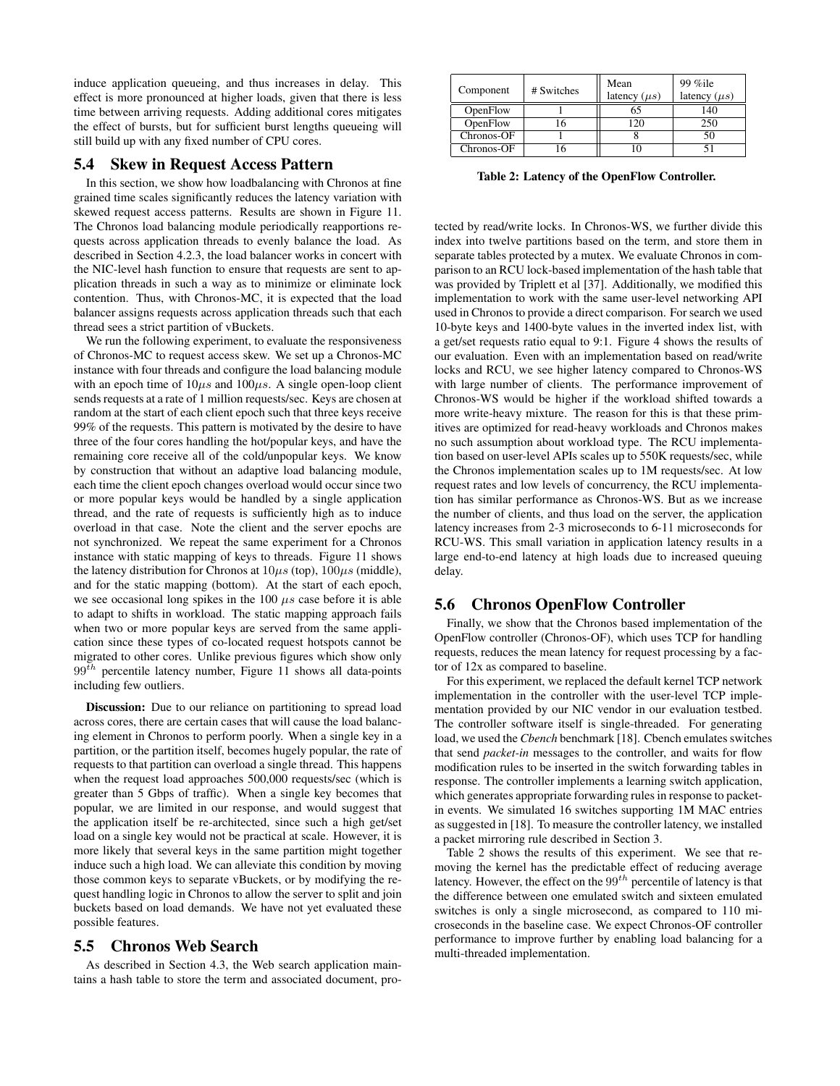induce application queueing, and thus increases in delay. This effect is more pronounced at higher loads, given that there is less time between arriving requests. Adding additional cores mitigates the effect of bursts, but for sufficient burst lengths queueing will still build up with any fixed number of CPU cores.

#### 5.4 Skew in Request Access Pattern

In this section, we show how loadbalancing with Chronos at fine grained time scales significantly reduces the latency variation with skewed request access patterns. Results are shown in Figure 11. The Chronos load balancing module periodically reapportions requests across application threads to evenly balance the load. As described in Section 4.2.3, the load balancer works in concert with the NIC-level hash function to ensure that requests are sent to application threads in such a way as to minimize or eliminate lock contention. Thus, with Chronos-MC, it is expected that the load balancer assigns requests across application threads such that each thread sees a strict partition of vBuckets.

We run the following experiment, to evaluate the responsiveness of Chronos-MC to request access skew. We set up a Chronos-MC instance with four threads and configure the load balancing module with an epoch time of  $10\mu s$  and  $100\mu s$ . A single open-loop client sends requests at a rate of 1 million requests/sec. Keys are chosen at random at the start of each client epoch such that three keys receive 99% of the requests. This pattern is motivated by the desire to have three of the four cores handling the hot/popular keys, and have the remaining core receive all of the cold/unpopular keys. We know by construction that without an adaptive load balancing module, each time the client epoch changes overload would occur since two or more popular keys would be handled by a single application thread, and the rate of requests is sufficiently high as to induce overload in that case. Note the client and the server epochs are not synchronized. We repeat the same experiment for a Chronos instance with static mapping of keys to threads. Figure 11 shows the latency distribution for Chronos at  $10\mu s$  (top),  $100\mu s$  (middle), and for the static mapping (bottom). At the start of each epoch, we see occasional long spikes in the  $100 \mu s$  case before it is able to adapt to shifts in workload. The static mapping approach fails when two or more popular keys are served from the same application since these types of co-located request hotspots cannot be migrated to other cores. Unlike previous figures which show only  $99<sup>th</sup>$  percentile latency number, Figure 11 shows all data-points including few outliers.

Discussion: Due to our reliance on partitioning to spread load across cores, there are certain cases that will cause the load balancing element in Chronos to perform poorly. When a single key in a partition, or the partition itself, becomes hugely popular, the rate of requests to that partition can overload a single thread. This happens when the request load approaches 500,000 requests/sec (which is greater than 5 Gbps of traffic). When a single key becomes that popular, we are limited in our response, and would suggest that the application itself be re-architected, since such a high get/set load on a single key would not be practical at scale. However, it is more likely that several keys in the same partition might together induce such a high load. We can alleviate this condition by moving those common keys to separate vBuckets, or by modifying the request handling logic in Chronos to allow the server to split and join buckets based on load demands. We have not yet evaluated these possible features.

#### 5.5 Chronos Web Search

As described in Section 4.3, the Web search application maintains a hash table to store the term and associated document, pro-

| Component  | # Switches | Mean<br>latency $(\mu s)$ | 99 %ile<br>latency $(\mu s)$ |
|------------|------------|---------------------------|------------------------------|
| OpenFlow   |            |                           | 140                          |
| OpenFlow   |            |                           | 250                          |
| Chronos-OF |            |                           | 50                           |
| Chronos-OF |            |                           |                              |

Table 2: Latency of the OpenFlow Controller.

tected by read/write locks. In Chronos-WS, we further divide this index into twelve partitions based on the term, and store them in separate tables protected by a mutex. We evaluate Chronos in comparison to an RCU lock-based implementation of the hash table that was provided by Triplett et al [37]. Additionally, we modified this implementation to work with the same user-level networking API used in Chronos to provide a direct comparison. For search we used 10-byte keys and 1400-byte values in the inverted index list, with a get/set requests ratio equal to 9:1. Figure 4 shows the results of our evaluation. Even with an implementation based on read/write locks and RCU, we see higher latency compared to Chronos-WS with large number of clients. The performance improvement of Chronos-WS would be higher if the workload shifted towards a more write-heavy mixture. The reason for this is that these primitives are optimized for read-heavy workloads and Chronos makes no such assumption about workload type. The RCU implementation based on user-level APIs scales up to 550K requests/sec, while the Chronos implementation scales up to 1M requests/sec. At low request rates and low levels of concurrency, the RCU implementation has similar performance as Chronos-WS. But as we increase the number of clients, and thus load on the server, the application latency increases from 2-3 microseconds to 6-11 microseconds for RCU-WS. This small variation in application latency results in a large end-to-end latency at high loads due to increased queuing delay.

#### 5.6 Chronos OpenFlow Controller

Finally, we show that the Chronos based implementation of the OpenFlow controller (Chronos-OF), which uses TCP for handling requests, reduces the mean latency for request processing by a factor of 12x as compared to baseline.

For this experiment, we replaced the default kernel TCP network implementation in the controller with the user-level TCP implementation provided by our NIC vendor in our evaluation testbed. The controller software itself is single-threaded. For generating load, we used the *Cbench* benchmark [18]. Cbench emulates switches that send *packet-in* messages to the controller, and waits for flow modification rules to be inserted in the switch forwarding tables in response. The controller implements a learning switch application, which generates appropriate forwarding rules in response to packetin events. We simulated 16 switches supporting 1M MAC entries as suggested in [18]. To measure the controller latency, we installed a packet mirroring rule described in Section 3.

Table 2 shows the results of this experiment. We see that removing the kernel has the predictable effect of reducing average latency. However, the effect on the  $99^{th}$  percentile of latency is that the difference between one emulated switch and sixteen emulated switches is only a single microsecond, as compared to 110 microseconds in the baseline case. We expect Chronos-OF controller performance to improve further by enabling load balancing for a multi-threaded implementation.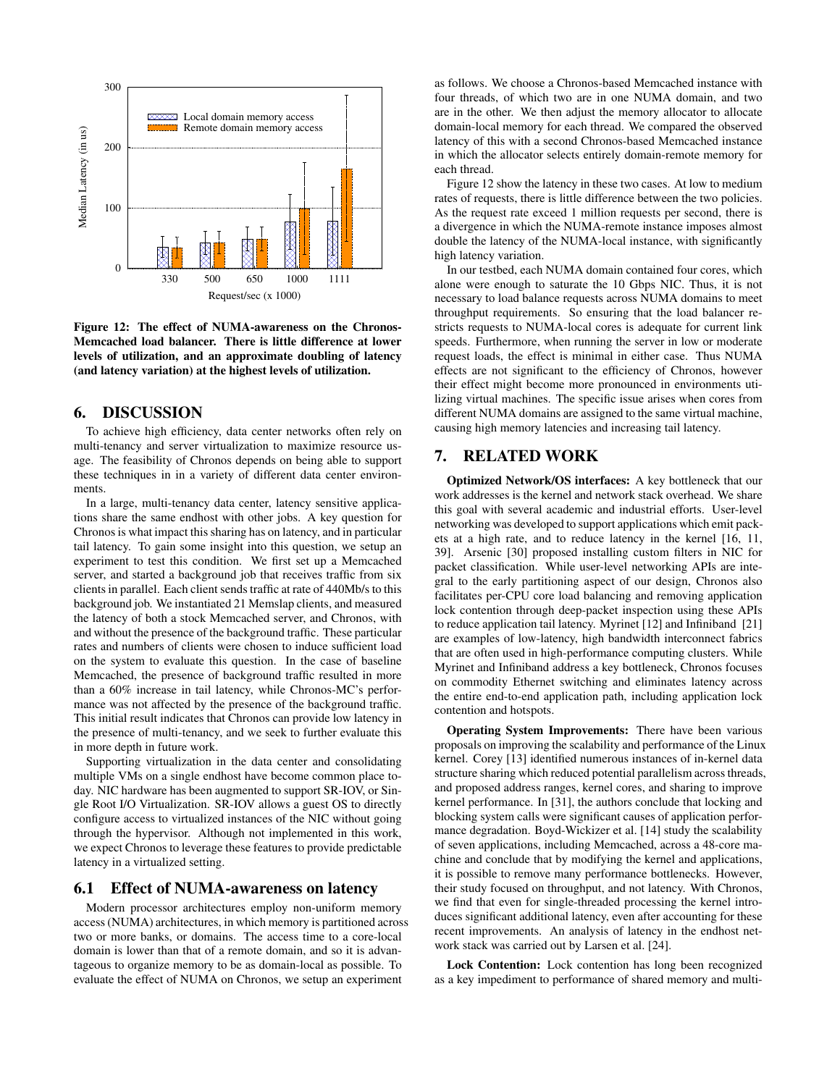

Figure 12: The effect of NUMA-awareness on the Chronos-Memcached load balancer. There is little difference at lower levels of utilization, and an approximate doubling of latency (and latency variation) at the highest levels of utilization.

#### 6. DISCUSSION

To achieve high efficiency, data center networks often rely on multi-tenancy and server virtualization to maximize resource usage. The feasibility of Chronos depends on being able to support these techniques in in a variety of different data center environments.

In a large, multi-tenancy data center, latency sensitive applications share the same endhost with other jobs. A key question for Chronos is what impact this sharing has on latency, and in particular tail latency. To gain some insight into this question, we setup an experiment to test this condition. We first set up a Memcached server, and started a background job that receives traffic from six clients in parallel. Each client sends traffic at rate of 440Mb/s to this background job. We instantiated 21 Memslap clients, and measured the latency of both a stock Memcached server, and Chronos, with and without the presence of the background traffic. These particular rates and numbers of clients were chosen to induce sufficient load on the system to evaluate this question. In the case of baseline Memcached, the presence of background traffic resulted in more than a 60% increase in tail latency, while Chronos-MC's performance was not affected by the presence of the background traffic. This initial result indicates that Chronos can provide low latency in the presence of multi-tenancy, and we seek to further evaluate this in more depth in future work.

Supporting virtualization in the data center and consolidating multiple VMs on a single endhost have become common place today. NIC hardware has been augmented to support SR-IOV, or Single Root I/O Virtualization. SR-IOV allows a guest OS to directly configure access to virtualized instances of the NIC without going through the hypervisor. Although not implemented in this work, we expect Chronos to leverage these features to provide predictable latency in a virtualized setting.

#### 6.1 Effect of NUMA-awareness on latency

Modern processor architectures employ non-uniform memory access (NUMA) architectures, in which memory is partitioned across two or more banks, or domains. The access time to a core-local domain is lower than that of a remote domain, and so it is advantageous to organize memory to be as domain-local as possible. To evaluate the effect of NUMA on Chronos, we setup an experiment

as follows. We choose a Chronos-based Memcached instance with four threads, of which two are in one NUMA domain, and two are in the other. We then adjust the memory allocator to allocate domain-local memory for each thread. We compared the observed latency of this with a second Chronos-based Memcached instance in which the allocator selects entirely domain-remote memory for each thread.

Figure 12 show the latency in these two cases. At low to medium rates of requests, there is little difference between the two policies. As the request rate exceed 1 million requests per second, there is a divergence in which the NUMA-remote instance imposes almost double the latency of the NUMA-local instance, with significantly high latency variation.

In our testbed, each NUMA domain contained four cores, which alone were enough to saturate the 10 Gbps NIC. Thus, it is not necessary to load balance requests across NUMA domains to meet throughput requirements. So ensuring that the load balancer restricts requests to NUMA-local cores is adequate for current link speeds. Furthermore, when running the server in low or moderate request loads, the effect is minimal in either case. Thus NUMA effects are not significant to the efficiency of Chronos, however their effect might become more pronounced in environments utilizing virtual machines. The specific issue arises when cores from different NUMA domains are assigned to the same virtual machine, causing high memory latencies and increasing tail latency.

## 7. RELATED WORK

Optimized Network/OS interfaces: A key bottleneck that our work addresses is the kernel and network stack overhead. We share this goal with several academic and industrial efforts. User-level networking was developed to support applications which emit packets at a high rate, and to reduce latency in the kernel [16, 11, 39]. Arsenic [30] proposed installing custom filters in NIC for packet classification. While user-level networking APIs are integral to the early partitioning aspect of our design, Chronos also facilitates per-CPU core load balancing and removing application lock contention through deep-packet inspection using these APIs to reduce application tail latency. Myrinet [12] and Infiniband [21] are examples of low-latency, high bandwidth interconnect fabrics that are often used in high-performance computing clusters. While Myrinet and Infiniband address a key bottleneck, Chronos focuses on commodity Ethernet switching and eliminates latency across the entire end-to-end application path, including application lock contention and hotspots.

Operating System Improvements: There have been various proposals on improving the scalability and performance of the Linux kernel. Corey [13] identified numerous instances of in-kernel data structure sharing which reduced potential parallelism across threads, and proposed address ranges, kernel cores, and sharing to improve kernel performance. In [31], the authors conclude that locking and blocking system calls were significant causes of application performance degradation. Boyd-Wickizer et al. [14] study the scalability of seven applications, including Memcached, across a 48-core machine and conclude that by modifying the kernel and applications, it is possible to remove many performance bottlenecks. However, their study focused on throughput, and not latency. With Chronos, we find that even for single-threaded processing the kernel introduces significant additional latency, even after accounting for these recent improvements. An analysis of latency in the endhost network stack was carried out by Larsen et al. [24].

Lock Contention: Lock contention has long been recognized as a key impediment to performance of shared memory and multi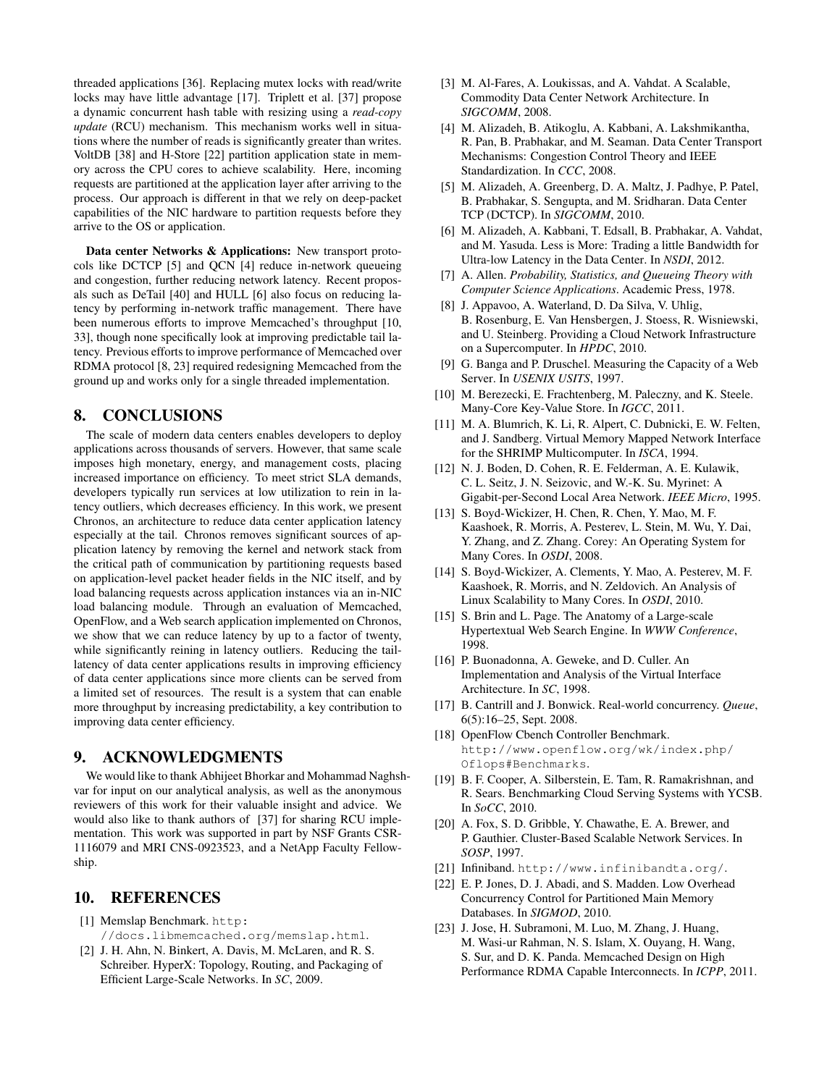threaded applications [36]. Replacing mutex locks with read/write locks may have little advantage [17]. Triplett et al. [37] propose a dynamic concurrent hash table with resizing using a *read-copy update* (RCU) mechanism. This mechanism works well in situations where the number of reads is significantly greater than writes. VoltDB [38] and H-Store [22] partition application state in memory across the CPU cores to achieve scalability. Here, incoming requests are partitioned at the application layer after arriving to the process. Our approach is different in that we rely on deep-packet capabilities of the NIC hardware to partition requests before they arrive to the OS or application.

Data center Networks & Applications: New transport protocols like DCTCP [5] and QCN [4] reduce in-network queueing and congestion, further reducing network latency. Recent proposals such as DeTail [40] and HULL [6] also focus on reducing latency by performing in-network traffic management. There have been numerous efforts to improve Memcached's throughput [10, 33], though none specifically look at improving predictable tail latency. Previous efforts to improve performance of Memcached over RDMA protocol [8, 23] required redesigning Memcached from the ground up and works only for a single threaded implementation.

#### 8. CONCLUSIONS

The scale of modern data centers enables developers to deploy applications across thousands of servers. However, that same scale imposes high monetary, energy, and management costs, placing increased importance on efficiency. To meet strict SLA demands, developers typically run services at low utilization to rein in latency outliers, which decreases efficiency. In this work, we present Chronos, an architecture to reduce data center application latency especially at the tail. Chronos removes significant sources of application latency by removing the kernel and network stack from the critical path of communication by partitioning requests based on application-level packet header fields in the NIC itself, and by load balancing requests across application instances via an in-NIC load balancing module. Through an evaluation of Memcached, OpenFlow, and a Web search application implemented on Chronos, we show that we can reduce latency by up to a factor of twenty, while significantly reining in latency outliers. Reducing the taillatency of data center applications results in improving efficiency of data center applications since more clients can be served from a limited set of resources. The result is a system that can enable more throughput by increasing predictability, a key contribution to improving data center efficiency.

## 9. ACKNOWLEDGMENTS

We would like to thank Abhijeet Bhorkar and Mohammad Naghshvar for input on our analytical analysis, as well as the anonymous reviewers of this work for their valuable insight and advice. We would also like to thank authors of [37] for sharing RCU implementation. This work was supported in part by NSF Grants CSR-1116079 and MRI CNS-0923523, and a NetApp Faculty Fellowship.

## 10. REFERENCES

- [1] Memslap Benchmark. http: //docs.libmemcached.org/memslap.html.
- [2] J. H. Ahn, N. Binkert, A. Davis, M. McLaren, and R. S. Schreiber. HyperX: Topology, Routing, and Packaging of Efficient Large-Scale Networks. In *SC*, 2009.
- [3] M. Al-Fares, A. Loukissas, and A. Vahdat. A Scalable, Commodity Data Center Network Architecture. In *SIGCOMM*, 2008.
- [4] M. Alizadeh, B. Atikoglu, A. Kabbani, A. Lakshmikantha, R. Pan, B. Prabhakar, and M. Seaman. Data Center Transport Mechanisms: Congestion Control Theory and IEEE Standardization. In *CCC*, 2008.
- [5] M. Alizadeh, A. Greenberg, D. A. Maltz, J. Padhye, P. Patel, B. Prabhakar, S. Sengupta, and M. Sridharan. Data Center TCP (DCTCP). In *SIGCOMM*, 2010.
- [6] M. Alizadeh, A. Kabbani, T. Edsall, B. Prabhakar, A. Vahdat, and M. Yasuda. Less is More: Trading a little Bandwidth for Ultra-low Latency in the Data Center. In *NSDI*, 2012.
- [7] A. Allen. *Probability, Statistics, and Queueing Theory with Computer Science Applications*. Academic Press, 1978.
- [8] J. Appavoo, A. Waterland, D. Da Silva, V. Uhlig, B. Rosenburg, E. Van Hensbergen, J. Stoess, R. Wisniewski, and U. Steinberg. Providing a Cloud Network Infrastructure on a Supercomputer. In *HPDC*, 2010.
- [9] G. Banga and P. Druschel. Measuring the Capacity of a Web Server. In *USENIX USITS*, 1997.
- [10] M. Berezecki, E. Frachtenberg, M. Paleczny, and K. Steele. Many-Core Key-Value Store. In *IGCC*, 2011.
- [11] M. A. Blumrich, K. Li, R. Alpert, C. Dubnicki, E. W. Felten, and J. Sandberg. Virtual Memory Mapped Network Interface for the SHRIMP Multicomputer. In *ISCA*, 1994.
- [12] N. J. Boden, D. Cohen, R. E. Felderman, A. E. Kulawik, C. L. Seitz, J. N. Seizovic, and W.-K. Su. Myrinet: A Gigabit-per-Second Local Area Network. *IEEE Micro*, 1995.
- [13] S. Boyd-Wickizer, H. Chen, R. Chen, Y. Mao, M. F. Kaashoek, R. Morris, A. Pesterev, L. Stein, M. Wu, Y. Dai, Y. Zhang, and Z. Zhang. Corey: An Operating System for Many Cores. In *OSDI*, 2008.
- [14] S. Boyd-Wickizer, A. Clements, Y. Mao, A. Pesterev, M. F. Kaashoek, R. Morris, and N. Zeldovich. An Analysis of Linux Scalability to Many Cores. In *OSDI*, 2010.
- [15] S. Brin and L. Page. The Anatomy of a Large-scale Hypertextual Web Search Engine. In *WWW Conference*, 1998.
- [16] P. Buonadonna, A. Geweke, and D. Culler. An Implementation and Analysis of the Virtual Interface Architecture. In *SC*, 1998.
- [17] B. Cantrill and J. Bonwick. Real-world concurrency. *Queue*, 6(5):16–25, Sept. 2008.
- [18] OpenFlow Cbench Controller Benchmark. http://www.openflow.org/wk/index.php/ Oflops#Benchmarks.
- [19] B. F. Cooper, A. Silberstein, E. Tam, R. Ramakrishnan, and R. Sears. Benchmarking Cloud Serving Systems with YCSB. In *SoCC*, 2010.
- [20] A. Fox, S. D. Gribble, Y. Chawathe, E. A. Brewer, and P. Gauthier. Cluster-Based Scalable Network Services. In *SOSP*, 1997.
- [21] Infiniband. http://www.infinibandta.org/.
- [22] E. P. Jones, D. J. Abadi, and S. Madden. Low Overhead Concurrency Control for Partitioned Main Memory Databases. In *SIGMOD*, 2010.
- [23] J. Jose, H. Subramoni, M. Luo, M. Zhang, J. Huang, M. Wasi-ur Rahman, N. S. Islam, X. Ouyang, H. Wang, S. Sur, and D. K. Panda. Memcached Design on High Performance RDMA Capable Interconnects. In *ICPP*, 2011.